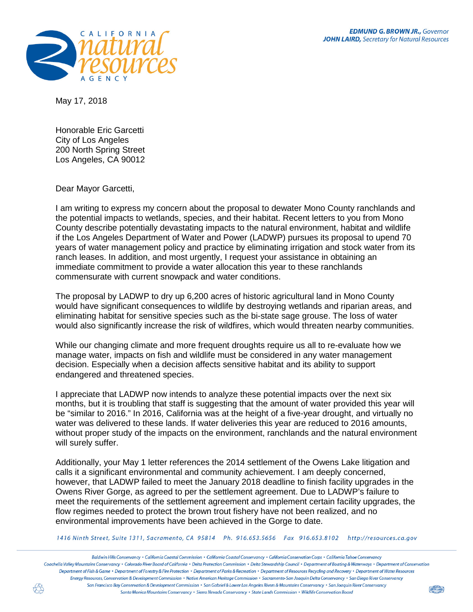

May 17, 2018

Honorable Eric Garcetti City of Los Angeles 200 North Spring Street Los Angeles, CA 90012

Dear Mayor Garcetti,

I am writing to express my concern about the proposal to dewater Mono County ranchlands and the potential impacts to wetlands, species, and their habitat. Recent letters to you from Mono County describe potentially devastating impacts to the natural environment, habitat and wildlife if the Los Angeles Department of Water and Power (LADWP) pursues its proposal to upend 70 years of water management policy and practice by eliminating irrigation and stock water from its ranch leases. In addition, and most urgently, I request your assistance in obtaining an immediate commitment to provide a water allocation this year to these ranchlands commensurate with current snowpack and water conditions.

The proposal by LADWP to dry up 6,200 acres of historic agricultural land in Mono County would have significant consequences to wildlife by destroying wetlands and riparian areas, and eliminating habitat for sensitive species such as the bi-state sage grouse. The loss of water would also significantly increase the risk of wildfires, which would threaten nearby communities.

While our changing climate and more frequent droughts require us all to re-evaluate how we manage water, impacts on fish and wildlife must be considered in any water management decision. Especially when a decision affects sensitive habitat and its ability to support endangered and threatened species.

I appreciate that LADWP now intends to analyze these potential impacts over the next six months, but it is troubling that staff is suggesting that the amount of water provided this year will be "similar to 2016." In 2016, California was at the height of a five-year drought, and virtually no water was delivered to these lands. If water deliveries this year are reduced to 2016 amounts, without proper study of the impacts on the environment, ranchlands and the natural environment will surely suffer.

Additionally, your May 1 letter references the 2014 settlement of the Owens Lake litigation and calls it a significant environmental and community achievement. I am deeply concerned, however, that LADWP failed to meet the January 2018 deadline to finish facility upgrades in the Owens River Gorge, as agreed to per the settlement agreement. Due to LADWP's failure to meet the requirements of the settlement agreement and implement certain facility upgrades, the flow regimes needed to protect the brown trout fishery have not been realized, and no environmental improvements have been achieved in the Gorge to date.

1416 Ninth Street, Suite 1311, Sacramento, CA 95814 Ph. 916.653.5656 Fax 916.653.8102 http://resources.ca.gov

Baldwin Hills Conservancy • California Coastal Commission • California Coastal Conservancy • California Conservation Corps • California Tahoe Conservancy Coachella Valley Mountains Conservancy • Colorado River Roard of California • Delta Protection Commission • Delta Stewardship Council • Department of Roating & Waterways • Department of Conservation Department of Fish & Game · Department of Forestry & Fire Protection · Department of Parks & Recreation · Department of Resources Recycling and Recovery · Department of Water Resources Eneray Resources, Conservation & Development Commission • Native American Heritage Commission • Sacramento-San Jogauin Delta Conservancy • San Diego River Conservancy San Francisco Bay Conservation & Development Commission • San Gabriel & Lower Los Angeles Rivers & Mountains Conservancy • San Joaquin River Conservancy Santa Monica Mountains Conservancy . Sierra Nevada Conservancy . State Lands Commission . Wildlife Conservation Board